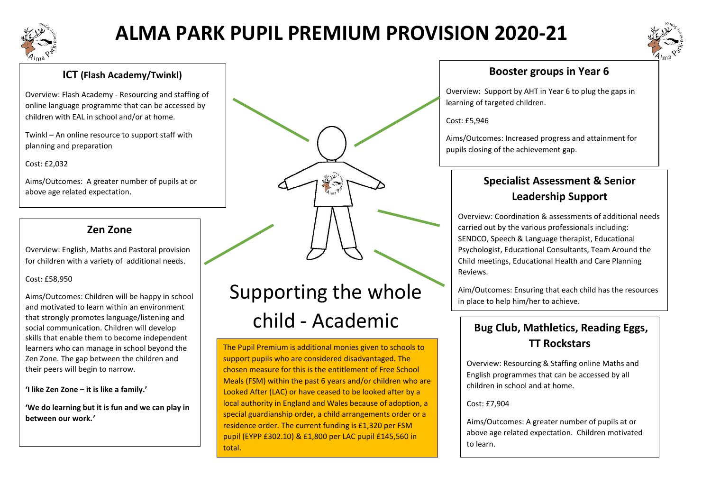

## **ALMA PARK PUPIL PREMIUM PROVISION 2020-21**



#### **ICT (Flash Academy/Twinkl)**

Overview: Flash Academy - Resourcing and staffing of online language programme that can be accessed by children with EAL in school and/or at home.

Twinkl – An online resource to support staff with planning and preparation

Cost: £2,032

Aims/Outcomes: A greater number of pupils at or above age related expectation.

## **and at school. When it get's tricky Mrs. A helps." Zen Zone**

Overview: English, Maths and Pastoral provision for children with a variety of additional needs.

Cost: £58,950

Aims/Outcomes: Children will be happy in school and motivated to learn within an environment that strongly promotes language/listening and social communication. Children will develop skills that enable them to become independent learners who can manage in school beyond the Zen Zone. The gap between the children and their peers will begin to narrow.

**'I like Zen Zone – it is like a family.'**

**'We do learning but it is fun and we can play in between our work.***'*

## Supporting the whole child - Academic

The Pupil Premium is additional monies given to schools to support pupils who are considered disadvantaged. The chosen measure for this is the entitlement of Free School Meals (FSM) within the past 6 years and/or children who are Looked After (LAC) or have ceased to be looked after by a local authority in England and Wales because of adoption, a special guardianship order, a child arrangements order or a residence order. The current funding is £1,320 per FSM pupil (EYPP £302.10) & £1,800 per LAC pupil £145,560 in total.

#### **Booster groups in Year 6**

Overview: Support by AHT in Year 6 to plug the gaps in learning of targeted children.

Cost: £5,946

Aims/Outcomes: Increased progress and attainment for pupils closing of the achievement gap.

## **Specialist Assessment & Senior Leadership Support**

Overview: Coordination & assessments of additional needs carried out by the various professionals including: SENDCO, Speech & Language therapist, Educational Psychologist, Educational Consultants, Team Around the Child meetings, Educational Health and Care Planning Reviews.

Aim/Outcomes: Ensuring that each child has the resources in place to help him/her to achieve.

## **Bug Club, Mathletics, Reading Eggs, TT Rockstars**

Overview: Resourcing & Staffing online Maths and English programmes that can be accessed by all children in school and at home.

#### Cost: £7,904

Aims/Outcomes: A greater number of pupils at or above age related expectation. Children motivated to learn.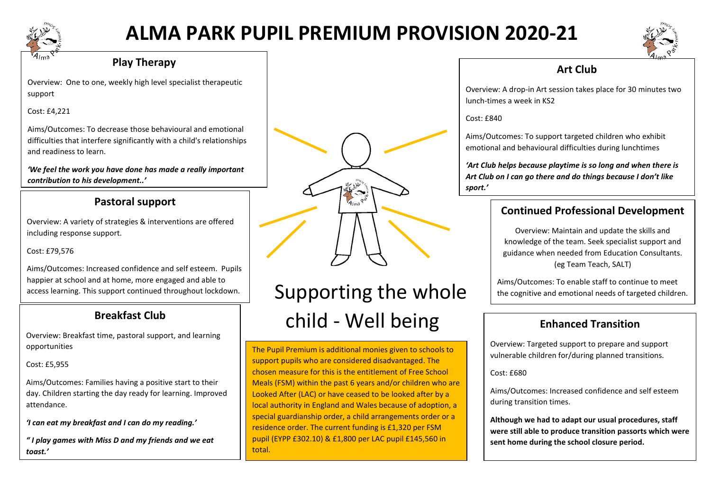

## **ALMA PARK PUPIL PREMIUM PROVISION 2020-21**



#### **Play Therapy**

Overview: One to one, weekly high level specialist therapeutic support

Cost: £4,221

Aims/Outcomes: To decrease those behavioural and emotional difficulties that interfere significantly with a child's relationships and readiness to learn.

*'We feel the work you have done has made a really important contribution to his development..'*

#### **Pastoral support**

including response support. Overview: A variety of strategies & interventions are offered

Cost: £79,576

Aims/Outcomes: Increased confidence and self esteem. Pupils happier at school and at home, more engaged and able to access learning. This support continued throughout lockdown.

### **Breakfast Club**

Overview: Breakfast time, pastoral support, and learning opportunities

Cost: £5,955

Aims/Outcomes: Families having a positive start to their day. Children starting the day ready for learning. Improved attendance.

*'I can eat my breakfast and I can do my reading.'*

*" I play games with Miss D and my friends and we eat toast.'*



## Supporting the whole child - Well being

The Pupil Premium is additional monies given to schools to support pupils who are considered disadvantaged. The chosen measure for this is the entitlement of Free School Meals (FSM) within the past 6 years and/or children who are Looked After (LAC) or have ceased to be looked after by a local authority in England and Wales because of adoption, a special guardianship order, a child arrangements order or a residence order. The current funding is £1,320 per FSM pupil (EYPP £302.10) & £1,800 per LAC pupil £145,560 in total.

### **Art Club**

Overview: A drop-in Art session takes place for 30 minutes two lunch-times a week in KS2

Cost: £840

Aims/Outcomes: To support targeted children who exhibit emotional and behavioural difficulties during lunchtimes

*'Art Club helps because playtime is so long and when there is Art Club on I can go there and do things because I don't like sport.'*

## **Continued Professional Development**

Overview: Maintain and update the skills and knowledge of the team. Seek specialist support and guidance when needed from Education Consultants. (eg Team Teach, SALT)

Aims/Outcomes: To enable staff to continue to meet the cognitive and emotional needs of targeted children.

## **Enhanced Transition**

Overview: Targeted support to prepare and support vulnerable children for/during planned transitions.

 $Cost: f680$ 

Aims/Outcomes: Increased confidence and self esteem during transition times.

**Although we had to adapt our usual procedures, staff were still able to produce transition passorts which were sent home during the school closure period.**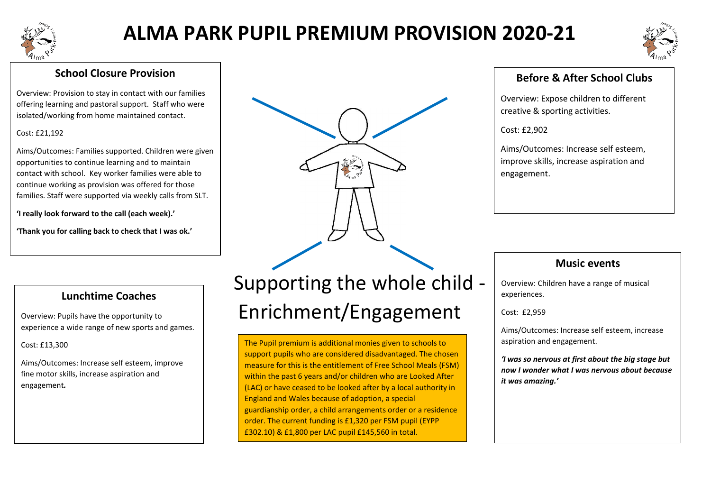

## **ALMA PARK PUPIL PREMIUM PROVISION 2020-21**



#### **School Closure Provision**

Overview: Provision to stay in contact with our families offering learning and pastoral support. Staff who were isolated/working from home maintained contact.

#### Cost: £21,192

Aims/Outcomes: Families supported. Children were given opportunities to continue learning and to maintain contact with school. Key worker families were able to continue working as provision was offered for those families. Staff were supported via weekly calls from SLT.

**'I really look forward to the call (each week).'**

**'Thank you for calling back to check that I was ok.'**

#### **Lunchtime Coaches**

Overview: Pupils have the opportunity to experience a wide range of new sports and games.

#### Cost: £13,300

Aims/Outcomes: Increase self esteem, improve fine motor skills, increase aspiration and engagement*.*

# Supporting the whole child - Enrichment/Engagement

The Pupil premium is additional monies given to schools to support pupils who are considered disadvantaged. The chosen measure for this is the entitlement of Free School Meals (FSM) within the past 6 years and/or children who are Looked After (LAC) or have ceased to be looked after by a local authority in England and Wales because of adoption, a special guardianship order, a child arrangements order or a residence order. The current funding is £1,320 per FSM pupil (EYPP £302.10) & £1,800 per LAC pupil £145,560 in total.

### **Before & After School Clubs**

Overview: Expose children to different creative & sporting activities.

Cost: £2,902

Aims/Outcomes: Increase self esteem, improve skills, increase aspiration and engagement.

#### **Music events**

Overview: Children have a range of musical experiences.

Cost: £2,959

Aims/Outcomes: Increase self esteem, increase aspiration and engagement.

*'I was so nervous at first about the big stage but now I wonder what I was nervous about because it was amazing.'*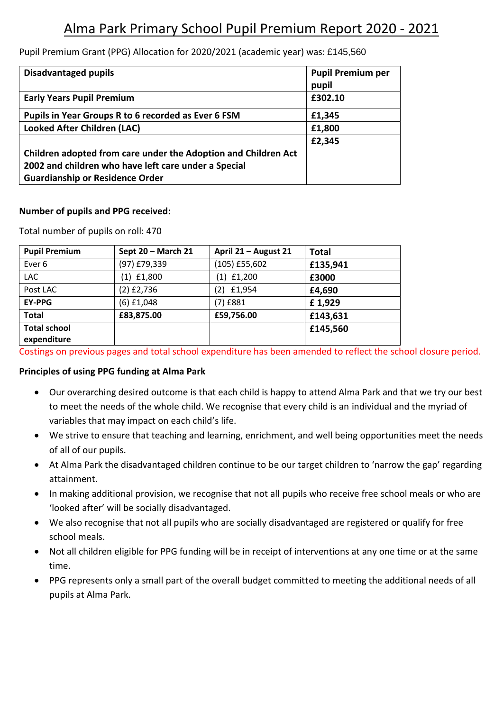## Alma Park Primary School Pupil Premium Report 2020 - 2021

Pupil Premium Grant (PPG) Allocation for 2020/2021 (academic year) was: £145,560

| <b>Disadvantaged pupils</b>                                    | <b>Pupil Premium per</b> |
|----------------------------------------------------------------|--------------------------|
|                                                                | pupil                    |
| <b>Early Years Pupil Premium</b>                               | £302.10                  |
| Pupils in Year Groups R to 6 recorded as Ever 6 FSM            | £1,345                   |
| <b>Looked After Children (LAC)</b>                             | £1,800                   |
|                                                                | £2,345                   |
| Children adopted from care under the Adoption and Children Act |                          |
| 2002 and children who have left care under a Special           |                          |
| <b>Guardianship or Residence Order</b>                         |                          |

#### **Number of pupils and PPG received:**

Total number of pupils on roll: 470

| <b>Pupil Premium</b> | Sept 20 - March 21 | April 21 - August 21 | <b>Total</b> |
|----------------------|--------------------|----------------------|--------------|
| Ever <sub>6</sub>    | (97) £79,339       | (105) £55,602        | £135,941     |
| <b>LAC</b>           | £1,800<br>(1)      | $(1)$ £1,200         | £3000        |
| Post LAC             | $(2)$ £2,736       | £1,954<br>(2)        | £4,690       |
| <b>EY-PPG</b>        | (6) £1,048         | (7) £881             | £1,929       |
| <b>Total</b>         | £83,875.00         | £59,756.00           | £143,631     |
| <b>Total school</b>  |                    |                      | £145,560     |
| expenditure          |                    |                      |              |

Costings on previous pages and total school expenditure has been amended to reflect the school closure period.

#### **Principles of using PPG funding at Alma Park**

- Our overarching desired outcome is that each child is happy to attend Alma Park and that we try our best to meet the needs of the whole child. We recognise that every child is an individual and the myriad of variables that may impact on each child's life.
- We strive to ensure that teaching and learning, enrichment, and well being opportunities meet the needs of all of our pupils.
- At Alma Park the disadvantaged children continue to be our target children to 'narrow the gap' regarding attainment.
- In making additional provision, we recognise that not all pupils who receive free school meals or who are 'looked after' will be socially disadvantaged.
- We also recognise that not all pupils who are socially disadvantaged are registered or qualify for free school meals.
- Not all children eligible for PPG funding will be in receipt of interventions at any one time or at the same time.
- PPG represents only a small part of the overall budget committed to meeting the additional needs of all pupils at Alma Park.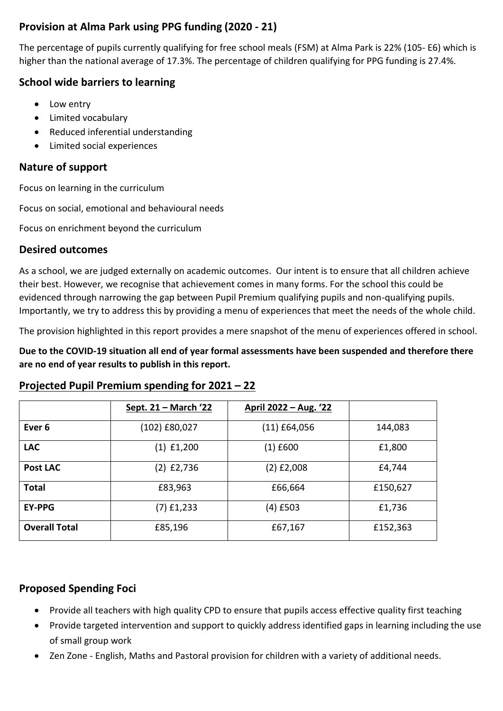#### **Provision at Alma Park using PPG funding (2020 - 21)**

The percentage of pupils currently qualifying for free school meals (FSM) at Alma Park is 22% (105- E6) which is higher than the national average of 17.3%. The percentage of children qualifying for PPG funding is 27.4%.

#### **School wide barriers to learning**

- Low entry
- Limited vocabulary
- Reduced inferential understanding
- Limited social experiences

#### **Nature of support**

Focus on learning in the curriculum

Focus on social, emotional and behavioural needs

Focus on enrichment beyond the curriculum

#### **Desired outcomes**

As a school, we are judged externally on academic outcomes. Our intent is to ensure that all children achieve their best. However, we recognise that achievement comes in many forms. For the school this could be evidenced through narrowing the gap between Pupil Premium qualifying pupils and non-qualifying pupils. Importantly, we try to address this by providing a menu of experiences that meet the needs of the whole child.

The provision highlighted in this report provides a mere snapshot of the menu of experiences offered in school.

**Due to the COVID-19 situation all end of year formal assessments have been suspended and therefore there are no end of year results to publish in this report.**

#### **Projected Pupil Premium spending for 2021 – 22**

|                      | Sept. 21 – March '22 | <u> April 2022 – Aug. '22</u> |          |  |  |
|----------------------|----------------------|-------------------------------|----------|--|--|
| Ever <sub>6</sub>    | (102) £80,027        | $(11)$ £64,056                | 144,083  |  |  |
| <b>LAC</b>           | $(1)$ £1,200         | $(1)$ £600                    | £1,800   |  |  |
| <b>Post LAC</b>      | $(2)$ £2,736         | (2) £2,008                    | £4,744   |  |  |
| <b>Total</b>         | £83,963              | £66,664                       | £150,627 |  |  |
| <b>EY-PPG</b>        | (7) £1,233           | (4) £503                      | £1,736   |  |  |
| <b>Overall Total</b> | £85,196              | £67,167                       | £152,363 |  |  |

#### **Proposed Spending Foci**

- Provide all teachers with high quality CPD to ensure that pupils access effective quality first teaching
- Provide targeted intervention and support to quickly address identified gaps in learning including the use of small group work
- Zen Zone English, Maths and Pastoral provision for children with a variety of additional needs.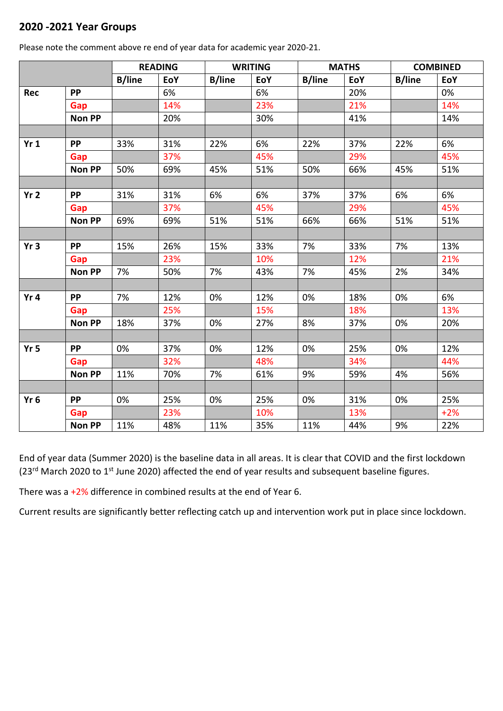#### **2020 -2021 Year Groups**

|                 |               | <b>READING</b> |     | <b>WRITING</b> |     | <b>MATHS</b>  |     | <b>COMBINED</b> |       |
|-----------------|---------------|----------------|-----|----------------|-----|---------------|-----|-----------------|-------|
|                 |               | <b>B/line</b>  | EoY | <b>B/line</b>  | EoY | <b>B/line</b> | EoY | <b>B/line</b>   | EoY   |
| Rec             | <b>PP</b>     |                | 6%  |                | 6%  |               | 20% |                 | 0%    |
|                 | Gap           |                | 14% |                | 23% |               | 21% |                 | 14%   |
|                 | <b>Non PP</b> |                | 20% |                | 30% |               | 41% |                 | 14%   |
|                 |               |                |     |                |     |               |     |                 |       |
| Yr1             | <b>PP</b>     | 33%            | 31% | 22%            | 6%  | 22%           | 37% | 22%             | 6%    |
|                 | Gap           |                | 37% |                | 45% |               | 29% |                 | 45%   |
|                 | <b>Non PP</b> | 50%            | 69% | 45%            | 51% | 50%           | 66% | 45%             | 51%   |
|                 |               |                |     |                |     |               |     |                 |       |
| Yr <sub>2</sub> | <b>PP</b>     | 31%            | 31% | 6%             | 6%  | 37%           | 37% | 6%              | 6%    |
|                 | Gap           |                | 37% |                | 45% |               | 29% |                 | 45%   |
|                 | <b>Non PP</b> | 69%            | 69% | 51%            | 51% | 66%           | 66% | 51%             | 51%   |
|                 |               |                |     |                |     |               |     |                 |       |
| Yr3             | <b>PP</b>     | 15%            | 26% | 15%            | 33% | 7%            | 33% | 7%              | 13%   |
|                 | Gap           |                | 23% |                | 10% |               | 12% |                 | 21%   |
|                 | <b>Non PP</b> | 7%             | 50% | 7%             | 43% | 7%            | 45% | 2%              | 34%   |
|                 |               |                |     |                |     |               |     |                 |       |
| Yr <sub>4</sub> | <b>PP</b>     | 7%             | 12% | 0%             | 12% | 0%            | 18% | 0%              | 6%    |
|                 | Gap           |                | 25% |                | 15% |               | 18% |                 | 13%   |
|                 | <b>Non PP</b> | 18%            | 37% | 0%             | 27% | 8%            | 37% | 0%              | 20%   |
|                 |               |                |     |                |     |               |     |                 |       |
| Yr <sub>5</sub> | <b>PP</b>     | 0%             | 37% | 0%             | 12% | 0%            | 25% | 0%              | 12%   |
|                 | Gap           |                | 32% |                | 48% |               | 34% |                 | 44%   |
|                 | <b>Non PP</b> | 11%            | 70% | 7%             | 61% | 9%            | 59% | 4%              | 56%   |
|                 |               |                |     |                |     |               |     |                 |       |
| Yr <sub>6</sub> | <b>PP</b>     | 0%             | 25% | 0%             | 25% | 0%            | 31% | 0%              | 25%   |
|                 | Gap           |                | 23% |                | 10% |               | 13% |                 | $+2%$ |
|                 | <b>Non PP</b> | 11%            | 48% | 11%            | 35% | 11%           | 44% | 9%              | 22%   |

Please note the comment above re end of year data for academic year 2020-21.

End of year data (Summer 2020) is the baseline data in all areas. It is clear that COVID and the first lockdown (23<sup>rd</sup> March 2020 to 1<sup>st</sup> June 2020) affected the end of year results and subsequent baseline figures.

There was a +2% difference in combined results at the end of Year 6.

Current results are significantly better reflecting catch up and intervention work put in place since lockdown.